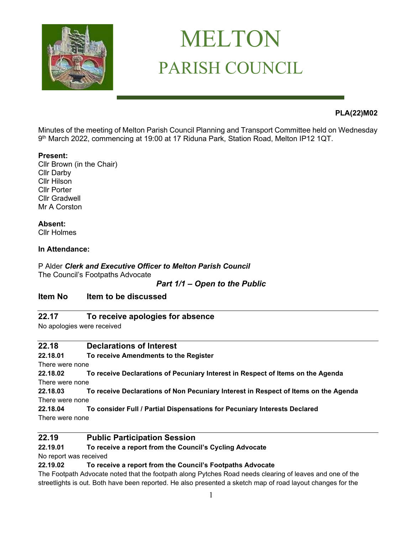

# MELTON PARISH COUNCIL

# **PLA(22)M02**

Minutes of the meeting of Melton Parish Council Planning and Transport Committee held on Wednesday 9 th March 2022, commencing at 19:00 at 17 Riduna Park, Station Road, Melton IP12 1QT.

#### **Present:**

Cllr Brown (in the Chair) Cllr Darby Cllr Hilson Cllr Porter Cllr Gradwell Mr A Corston

## **Absent:**

Cllr Holmes

#### **In Attendance:**

P Alder *Clerk and Executive Officer to Melton Parish Council* The Council's Footpaths Advocate

#### *Part 1/1 – Open to the Public*

## **Item No Item to be discussed**

## **22.17 To receive apologies for absence**

No apologies were received

## **22.18 Declarations of Interest**

**22.18.01 To receive Amendments to the Register**

There were none

**22.18.02 To receive Declarations of Pecuniary Interest in Respect of Items on the Agenda**  There were none

**22.18.03 To receive Declarations of Non Pecuniary Interest in Respect of Items on the Agenda** There were none

**22.18.04 To consider Full / Partial Dispensations for Pecuniary Interests Declared**  There were none

# **22.19 Public Participation Session**

#### **22.19.01 To receive a report from the Council's Cycling Advocate**

No report was received

**22.19.02 To receive a report from the Council's Footpaths Advocate**

The Footpath Advocate noted that the footpath along Pytches Road needs clearing of leaves and one of the streetlights is out. Both have been reported. He also presented a sketch map of road layout changes for the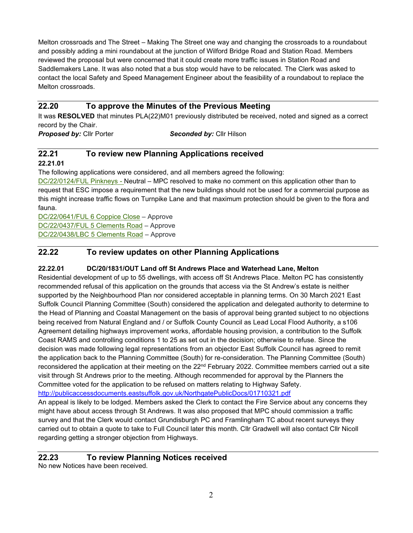Melton crossroads and The Street – Making The Street one way and changing the crossroads to a roundabout and possibly adding a mini roundabout at the junction of Wilford Bridge Road and Station Road. Members reviewed the proposal but were concerned that it could create more traffic issues in Station Road and Saddlemakers Lane. It was also noted that a bus stop would have to be relocated. The Clerk was asked to contact the local Safety and Speed Management Engineer about the feasibility of a roundabout to replace the Melton crossroads.

## **22.20 To approve the Minutes of the Previous Meeting**

It was **RESOLVED** that minutes PLA(22)M01 previously distributed be received, noted and signed as a correct record by the Chair.

*Proposed by:* Cllr Porter*Seconded by:* Cllr Hilson

#### **22.21 To review new Planning Applications received 22.21.01**

The following applications were considered, and all members agreed the following:

[DC/22/0124/FUL Pinkneys](https://publicaccess.eastsuffolk.gov.uk/online-applications/applicationDetails.do?activeTab=summary&keyVal=R5LQAZQX07400) - Neutral – MPC resolved to make no comment on this application other than to request that ESC impose a requirement that the new buildings should not be used for a commercial purpose as this might increase traffic flows on Turnpike Lane and that maximum protection should be given to the flora and fauna.

[DC/22/0641/FUL 6 Coppice Close](https://publicaccess.eastsuffolk.gov.uk/online-applications/applicationDetails.do?activeTab=summary&keyVal=R7FVDRQXJ4V00) – Approve [DC/22/0437/FUL 5 Clements Road](https://publicaccess.eastsuffolk.gov.uk/online-applications/applicationDetails.do?activeTab=summary&keyVal=R6Q7Y7QX06O00) – Approve [DC/22/0438/LBC 5 Clements Road](https://publicaccess.eastsuffolk.gov.uk/online-applications/applicationDetails.do?activeTab=summary&keyVal=R6Q7YWQX06O00) – Approve

# **22.22 To review updates on other Planning Applications**

## **22.22.01 DC/20/1831/OUT Land off St Andrews Place and Waterhead Lane, Melton**

Residential development of up to 55 dwellings, with access off St Andrews Place. Melton PC has consistently recommended refusal of this application on the grounds that access via the St Andrew's estate is neither supported by the Neighbourhood Plan nor considered acceptable in planning terms. On 30 March 2021 East Suffolk Council Planning Committee (South) considered the application and delegated authority to determine to the Head of Planning and Coastal Management on the basis of approval being granted subject to no objections being received from Natural England and / or Suffolk County Council as Lead Local Flood Authority, a s106 Agreement detailing highways improvement works, affordable housing provision, a contribution to the Suffolk Coast RAMS and controlling conditions 1 to 25 as set out in the decision; otherwise to refuse. Since the decision was made following legal representations from an objector East Suffolk Council has agreed to remit the application back to the Planning Committee (South) for re-consideration. The Planning Committee (South) reconsidered the application at their meeting on the 22<sup>nd</sup> February 2022. Committee members carried out a site visit through St Andrews prior to the meeting. Although recommended for approval by the Planners the Committee voted for the application to be refused on matters relating to Highway Safety.

<http://publicaccessdocuments.eastsuffolk.gov.uk/NorthgatePublicDocs/01710321.pdf>

An appeal is likely to be lodged. Members asked the Clerk to contact the Fire Service about any concerns they might have about access through St Andrews. It was also proposed that MPC should commission a traffic survey and that the Clerk would contact Grundisburgh PC and Framlingham TC about recent surveys they carried out to obtain a quote to take to Full Council later this month. Cllr Gradwell will also contact Cllr Nicoll regarding getting a stronger objection from Highways.

#### **22.23 To review Planning Notices received**

No new Notices have been received.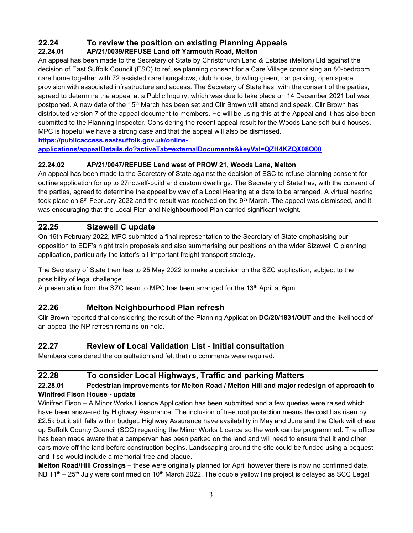# **22.24 To review the position on existing Planning Appeals**

# **22.24.01 AP/21/0039/REFUSE Land off Yarmouth Road, Melton**

An appeal has been made to the Secretary of State by Christchurch Land & Estates (Melton) Ltd against the decision of East Suffolk Council (ESC) to refuse planning consent for a Care Village comprising an 80-bedroom care home together with 72 assisted care bungalows, club house, bowling green, car parking, open space provision with associated infrastructure and access. The Secretary of State has, with the consent of the parties, agreed to determine the appeal at a Public Inquiry, which was due to take place on 14 December 2021 but was postponed. A new date of the 15<sup>th</sup> March has been set and Cllr Brown will attend and speak. Cllr Brown has distributed version 7 of the appeal document to members. He will be using this at the Appeal and it has also been submitted to the Planning Inspector. Considering the recent appeal result for the Woods Lane self-build houses, MPC is hopeful we have a strong case and that the appeal will also be dismissed.

**[https://publicaccess.eastsuffolk.gov.uk/online-](https://publicaccess.eastsuffolk.gov.uk/online-applications/appealDetails.do?activeTab=externalDocuments&keyVal=QZH4KZQX08O00)**

**[applications/appealDetails.do?activeTab=externalDocuments&keyVal=QZH4KZQX08O00](https://publicaccess.eastsuffolk.gov.uk/online-applications/appealDetails.do?activeTab=externalDocuments&keyVal=QZH4KZQX08O00)**

# **22.24.02 AP/21/0047/REFUSE Land west of PROW 21, Woods Lane, Melton**

An appeal has been made to the Secretary of State against the decision of ESC to refuse planning consent for outline application for up to 27no.self-build and custom dwellings. The Secretary of State has, with the consent of the parties, agreed to determine the appeal by way of a Local Hearing at a date to be arranged. A virtual hearing took place on 8<sup>th</sup> February 2022 and the result was received on the 9<sup>th</sup> March. The appeal was dismissed, and it was encouraging that the Local Plan and Neighbourhood Plan carried significant weight.

# **22.25 Sizewell C update**

On 16th February 2022, MPC submitted a final representation to the Secretary of State emphasising our opposition to EDF's night train proposals and also summarising our positions on the wider Sizewell C planning application, particularly the latter's all-important freight transport strategy.

The Secretary of State then has to 25 May 2022 to make a decision on the SZC application, subject to the possibility of legal challenge.

A presentation from the SZC team to MPC has been arranged for the  $13<sup>th</sup>$  April at 6pm.

# **22.26 Melton Neighbourhood Plan refresh**

Cllr Brown reported that considering the result of the Planning Application **DC/20/1831/OUT** and the likelihood of an appeal the NP refresh remains on hold.

# **22.27 Review of Local Validation List - Initial consultation**

Members considered the consultation and felt that no comments were required.

# **22.28 To consider Local Highways, Traffic and parking Matters**

## **22.28.01 Pedestrian improvements for Melton Road / Melton Hill and major redesign of approach to Winifred Fison House - update**

Winifred Fison – A Minor Works Licence Application has been submitted and a few queries were raised which have been answered by Highway Assurance. The inclusion of tree root protection means the cost has risen by £2.5k but it still falls within budget. Highway Assurance have availability in May and June and the Clerk will chase up Suffolk County Council (SCC) regarding the Minor Works Licence so the work can be programmed. The office has been made aware that a campervan has been parked on the land and will need to ensure that it and other cars move off the land before construction begins. Landscaping around the site could be funded using a bequest and if so would include a memorial tree and plaque.

**Melton Road/Hill Crossings** – these were originally planned for April however there is now no confirmed date. NB 11<sup>th</sup> – 25<sup>th</sup> July were confirmed on 10<sup>th</sup> March 2022. The double yellow line project is delayed as SCC Legal